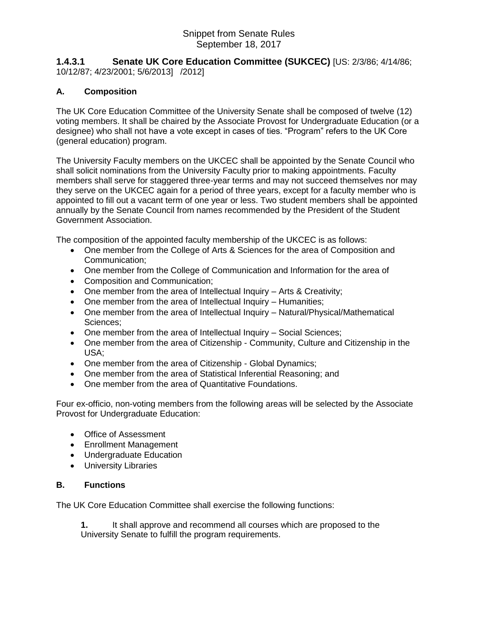## Snippet from Senate Rules September 18, 2017

**1.4.3.1 Senate UK Core Education Committee (SUKCEC)** [US: 2/3/86; 4/14/86; 10/12/87; 4/23/2001; 5/6/2013] /2012]

## **A. Composition**

The UK Core Education Committee of the University Senate shall be composed of twelve (12) voting members. It shall be chaired by the Associate Provost for Undergraduate Education (or a designee) who shall not have a vote except in cases of ties. "Program" refers to the UK Core (general education) program.

The University Faculty members on the UKCEC shall be appointed by the Senate Council who shall solicit nominations from the University Faculty prior to making appointments. Faculty members shall serve for staggered three-year terms and may not succeed themselves nor may they serve on the UKCEC again for a period of three years, except for a faculty member who is appointed to fill out a vacant term of one year or less. Two student members shall be appointed annually by the Senate Council from names recommended by the President of the Student Government Association.

The composition of the appointed faculty membership of the UKCEC is as follows:

- One member from the College of Arts & Sciences for the area of Composition and Communication;
- One member from the College of Communication and Information for the area of
- Composition and Communication;
- One member from the area of Intellectual Inquiry Arts & Creativity;
- One member from the area of Intellectual Inquiry Humanities;
- One member from the area of Intellectual Inquiry Natural/Physical/Mathematical Sciences;
- One member from the area of Intellectual Inquiry Social Sciences;
- One member from the area of Citizenship Community, Culture and Citizenship in the USA;
- One member from the area of Citizenship Global Dynamics;
- One member from the area of Statistical Inferential Reasoning; and
- One member from the area of Quantitative Foundations.

Four ex-officio, non-voting members from the following areas will be selected by the Associate Provost for Undergraduate Education:

- Office of Assessment
- Enrollment Management
- Undergraduate Education
- University Libraries

## **B. Functions**

The UK Core Education Committee shall exercise the following functions:

**1.** It shall approve and recommend all courses which are proposed to the University Senate to fulfill the program requirements.